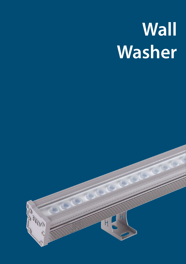# **Wall Washer**

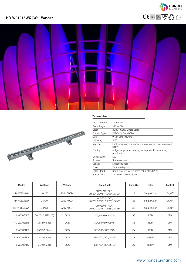





#### **Technical data**

| Input Voltage | 220V / 24V                                                      |
|---------------|-----------------------------------------------------------------|
| Beam Angle    | $10^{\circ}$ to $80^{\circ}$                                    |
| Color         | RGB / RGBW/ Single Color                                        |
| Control Type  | DMX512 / Switch/ Dali                                           |
| <b>Size</b>   | W42*H30*L1000mm                                                 |
| IP Rating     | IP65                                                            |
| Material      | High corrosion resistance die-cast copper-free aluminum<br>body |
| Coating       | Polyester powder coating with phosphocromating<br>pre-finish    |
| Light Source  | LED                                                             |
| <b>Screws</b> | Stainless steel                                                 |
| Gasket        | Silicone rubber                                                 |
| Cover         | Tempered glass                                                  |
| Cable Gland   | Double nickel-plated brass cable gland PG11                     |
| Power Cable   | 1m power cable included                                         |

| Model       | Wattage          | Voltage          | <b>Beam Angle</b>                                                            | Chip Qty | Color        | Control    |
|-------------|------------------|------------------|------------------------------------------------------------------------------|----------|--------------|------------|
| HD-W01018WX | 18*1W            | 220V / DC24      | 10°/15*45°/90°/<br>10*30°/20*45°/15*65°/15*45°                               | 18       | Single Color | On/Off     |
| HD-W01024WX | 24*1W            | 220V / DC24      | 10°/15*45°/90°/<br>10*30°/20*45°/15*65°/15*45°                               | 24       | Single Color | On/Off     |
| HD-W01030WX | $30*1W$          | 220V / DC24      | $10^{\circ}/15^{\star}45^{\circ}/90^{\circ}/$<br>10*30°/20*45°/15*65°/15*45° | 30       | Single Color | On/Off     |
| HD-W01036R3 | 36*1W(12R12G12B) | DC <sub>24</sub> | 30°/60°/80°/15*45°                                                           | 36       | RGB          | <b>DMX</b> |
| HD-W01018R3 | 18*2W(3in1)      | DC <sub>24</sub> | 30°/60°/80°/15*45°                                                           | 18       | RGB          | <b>DMX</b> |
| HD-W01024R3 | 24*1.5W(3in1)    | DC <sub>24</sub> | 30°/60°/80°/15*45°                                                           | 24       | RGB          | <b>DMX</b> |
| HD-W01018R4 | 18*2W(4in1)      | <b>DC24</b>      | 130°/60°/80°/15*45°                                                          | 18       | <b>RGBW</b>  | <b>DMX</b> |
| HD-W01024R4 | 24*2W(4in1)      | DC <sub>24</sub> | 130°/60°/80°/15*45°                                                          | 24       | <b>RGBW</b>  | <b>DMX</b> |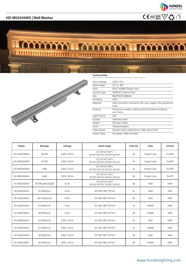

# **HD-W02036WX | Wall Washer**  $\mathsf{C}\in\mathsf{P}^{\mathsf{65}}$  and  $\mathsf{C}\in\mathsf{P}^{\mathsf{65}}$  and  $\mathsf{C}\in\mathsf{P}^{\mathsf{65}}$

## **MUNIMUMININI I MINIMINISTITUTE**



#### **Technical data**

| Input Voltage | 220V / 24V                                                      |
|---------------|-----------------------------------------------------------------|
| Beam Angle    | $10^{\circ}$ to $80^{\circ}$                                    |
| Color         | RGB / RGBW/ Single Color                                        |
| Control Type  | DMX512 / Switch/ Dali                                           |
| <b>Size</b>   | W52*H52*L1000mm                                                 |
| IP Rating     | IP65                                                            |
| Material      | High corrosion resistance die-cast copper-free aluminum<br>body |
| Coating       | Polyester powder coating with phosphocromating<br>pre-finish    |
| Light Source  | LED                                                             |
| <b>Screws</b> | Stainless steel                                                 |
| Gasket        | Silicone rubber                                                 |
| Cover         | Tempered glass                                                  |
| Cable Gland   | Double nickel-plated brass cable gland PG11                     |
| Power Cable   | 1m power cable included                                         |

| Model       | Wattage          | Voltage          | <b>Beam Angle</b>                              | Chip Qty | Color        | Control    |
|-------------|------------------|------------------|------------------------------------------------|----------|--------------|------------|
| HD-W02036WX | 36*1W            | 220V / DC24      | 10°/15*45°/90°/<br>10*30°/20*45°/15*65°/15*45° | 36       | Single Color | On/Off     |
| HD-W02024WX | 24*2W            | 220V / DC24      | 10°/15*45°/90°/<br>10*30°/20*45°/15*65°/15*45° | 24       | Single Color | On/Off     |
| HD-W02045WX | 45W              | 220V / DC24      | 10°/15*45°/90°/<br>10*30°/20*45°/15*65°/15*45° | 45       | Single Color | On/Off     |
| HD-W02060WX | 60W              | 220V / DC24      | 10°/15*45°/90°/<br>10*30°/20*45°/15*65°/15*45° | 60       | Single Color | On/Off     |
| HD-W02036R3 | 36*2W(12R12G12B) | DC <sub>24</sub> | 10°/15*45°/90°/<br>10*30°/20*45°/15*65°/15*45° | 36       | <b>RGB</b>   | <b>DMX</b> |
| HD-W02024R3 | 24*3W(3in1)      | <b>DC24</b>      | 30°/60°/80°/15*45°                             | 24       | <b>RGB</b>   | <b>DMX</b> |
| HD-W02036R3 | 36*2.5W(3in1)    | DC <sub>24</sub> | 30°/60°/80°/15*45°                             | 36       | RGB          | <b>DMX</b> |
| HD-W02024R4 | 24*4W(4in1)      | DC <sub>24</sub> | 30°/60°/80°/15*45°                             | 24       | <b>RGBW</b>  | <b>DMX</b> |
| HD-W02036R4 | 36*2W(4in1)      | <b>DC24</b>      | 30°/60°/80°/15*45°                             | 36       | <b>RGBW</b>  | <b>DMX</b> |
| HD-W02024R3 | 24*2W(4in1)      | 220V / DC24      | 30°/60°/80°/15*45°                             | 24       | <b>RGB</b>   | <b>DMX</b> |
| HD-W02024R4 | 24*3W(4in1)      | 220V / DC24      | 30°/60°/80°/15*45°                             | 24       | <b>RGBW</b>  | <b>DMX</b> |
| HD-W02036R3 | 36*2W(3in1)      | 220V / DC24      | 30°/60°/80°/15*45°                             | 36       | <b>RGB</b>   | <b>DMX</b> |
| HD-W02036R4 | 36*2W(4in1)      | 220V / DC24      | 30°/60°/80°/15*45°                             | 36       | <b>RGBW</b>  | <b>DMX</b> |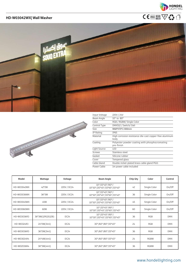







| Input Voltage | 220V / 24V                                                      |
|---------------|-----------------------------------------------------------------|
| Beam Angle    | $10^{\circ}$ to $80^{\circ}$                                    |
| Color         | RGB / RGBW/ Single Color                                        |
| Control Type  | DMX512 / Switch/Dali                                            |
| <b>Size</b>   | W68*H70*L1000mm                                                 |
| IP Rating     | IP65                                                            |
| Material      | High corrosion resistance die-cast copper-free aluminum<br>body |
| Coating       | Polyester powder coating with phosphocromating<br>pre-finish    |
| Light Source  | LED                                                             |
| <b>Screws</b> | Stainless steel                                                 |
| Gasket        | Silicone rubber                                                 |
| Cover         | Tempered glass                                                  |
| Cable Gland   | Double nickel-plated brass cable gland PG11                     |
| Power Cable   | 1m power cable included                                         |

| Model       | Wattage          | Voltage          | <b>Beam Angle</b>                              | Chip Qty | Color        | Control    |
|-------------|------------------|------------------|------------------------------------------------|----------|--------------|------------|
| HD-W03042WX | 42*2W            | 220V / DC24      | 10°/15*45°/90°/<br>10*30°/20*45°/15*65°/15*45° | 42       | Single Color | On/Off     |
| HD-W03036WX | 36*3W            | 220V / DC24      | 10°/15*45°/90°/<br>10*30°/20*45°/15*65°/15*45° | 36       | Single Color | On/Off     |
| HD-W03045WX | 45W              | 220V / DC24      | 10°/15*45°/90°/<br>10*30°/20*45°/15*65°/15*45° | 45       | Single Color | On/Off     |
| HD-W03060WX | 60W              | 220V / DC24      | 10°/15*45°/90°/<br>10*30°/20*45°/15*65°/15*45° | 60       | Single Color | On/Off     |
| HD-W03036R3 | 36*3W(12R12G12B) | DC <sub>24</sub> | 10°/15*45°/90°/<br>10*30°/20*45°/15*65°/15*45° | 36       | RGB          | <b>DMX</b> |
| HD-W0324R3  | 24*2W(3in1)      | DC <sub>24</sub> | 30°/60°/80°/15*45°                             | 24       | <b>RGB</b>   | <b>DMX</b> |
| HD-W03036R3 | 36*2W(3in1)      | DC <sub>24</sub> | 30°/60°/80°/15*45°                             | 36       | <b>RGB</b>   | <b>DMX</b> |
| HD-W03024R4 | 24*4W(4in1)      | DC <sub>24</sub> | 30°/60°/80°/15*45°                             | 24       | <b>RGBW</b>  | <b>DMX</b> |
| HD-W02036R4 | 36*3W(4in1)      | DC <sub>24</sub> | 30°/60°/80°/15*45°                             | 36       | <b>RGBW</b>  | <b>DMX</b> |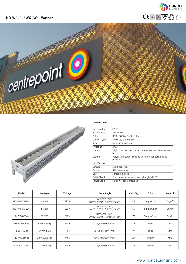

# **HD-W04048WX | Wall Washer**  $\mathsf{C}\in\mathsf{P}^{\mathsf{65}}\oplus\mathsf{P}^{\mathsf{65}}\oplus\mathsf{W}^{\mathsf{23}}$





#### **Technical data**

| Input Voltage | 220V                                                            |
|---------------|-----------------------------------------------------------------|
| Beam Angle    | 10° to 80°                                                      |
| Color         | RGB / RGBW/ Single Color                                        |
| Control Type  | DMX512 / Switch/ Dali                                           |
| <b>Size</b>   | W95*H95*L1000mm                                                 |
| IP Rating     | IP65                                                            |
| Material      | High corrosion resistance die-cast copper-free aluminum<br>body |
| Coating       | Polyester powder coating with phosphocromating<br>pre-finish    |
| Light Source  | LED                                                             |
| Screws        | Stainless steel                                                 |
| Gasket        | Silicone rubber                                                 |
| Cover         | Tempered glass                                                  |
| Cable Gland   | Double nickel-plated brass cable gland PG11                     |
| Power Cable   | 1m power cable included                                         |

| Model       | Wattage      | Voltage | <b>Beam Angle</b>                              | Chip Qty | Color        | Control    |
|-------------|--------------|---------|------------------------------------------------|----------|--------------|------------|
| HD-W04048WX | 48*2W        | 220V    | 10°/15*45°/90°/<br>10*30°/20*45°/15*65°/15*45° | 48       | Single Color | On/Off     |
| HD-W04054WX | $54*2W$      | 220V    | 10°/15*45°/90°/<br>10*30°/20*45°/15*65°/15*45° | 54       | Single Color | On/Off     |
| HD-W04072WX | 72*2W        | 220V    | 10°/15*45°/90°/<br>10*30°/20*45°/15*65°/15*45° | 72       | Single Color | On/Off     |
| HD-W04048R3 | 48*2W(3in1)  | 220V    | 30°/60°/80°/15*45°                             | 48       | <b>RGB</b>   | <b>DMX</b> |
| HD-W04072R3 | 72*2W(3in1)  | 220V    | 30°/60°/80°/15*45°                             | 72       | RGB          | <b>DMX</b> |
| HD-W04048R4 | 48*3wW(4in1) | 220V    | 30°/60°/80°/15*45°                             | 48       | <b>RGBW</b>  | <b>DMX</b> |
| HD-W04072R4 | 72*3W(4in1)  | 220V    | 30°/60°/80°/15*45°                             | 72       | <b>RGBW</b>  | <b>DMX</b> |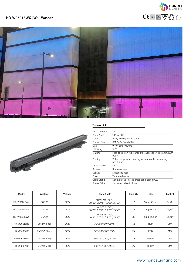



#### **Technical data**



| Input Voltage | 24V                                                             |
|---------------|-----------------------------------------------------------------|
| Beam Angle    | $10^{\circ}$ to $80^{\circ}$                                    |
| Color         | RGB / RGBW/ Single Color                                        |
| Control Type  | DMX512 / Switch/ Dali                                           |
| <b>Size</b>   | W40*H60*L1000mm                                                 |
| IP Rating     | IP65                                                            |
| Material      | High corrosion resistance die-cast copper-free aluminum<br>bodv |
| Coating       | Polyester powder coating with phosphocromating<br>pre-finish    |
| Light Source  | LED                                                             |
| <b>Screws</b> | Stainless steel                                                 |
| Gasket        | Silicone rubber                                                 |
| Cover         | Tempered glass                                                  |
| Cable Gland   | Double nickel-plated brass cable gland PG11                     |
| Power Cable   | 1m power cable included                                         |

| Model       | Wattage       | Voltage          | <b>Beam Angle</b>                                                     | Chip Qty | Color        | Control    |
|-------------|---------------|------------------|-----------------------------------------------------------------------|----------|--------------|------------|
| HD-W06018WX | 18*1W         | DC <sub>24</sub> | 10°/15*45°/90°/<br>10*30°/20*45°/15*65°/15*45°                        | 18       | Single Color | On/Off     |
| HD-W06024WX | 24*1W         | DC <sub>24</sub> | 10°/15*45°/90°/<br>10*30°/20*45°/15*65°/15*45°                        | 24       | Single Color | On/Off     |
| HD-W06036WX | 36*1W         | DC <sub>24</sub> | $10^{\circ}/15*45^{\circ}/90^{\circ}/$<br>10*30°/20*45°/15*65°/15*45° | 36       | Single Color | On/Off     |
| HD-W06018R3 | 18*2W(3in1)   | DC <sub>24</sub> | 30°/60°/80°/15*45°                                                    | 18       | RGB          | <b>DMX</b> |
| HD-W06024R3 | 24*1.5W(3in1) | DC <sub>24</sub> | 30°/60°/80°/15*45°                                                    | 24       | RGB          | <b>DMX</b> |
| HD-W06018R4 | 18*2W(4in1)   | DC <sub>24</sub> | 130°/60°/80°/15*45°                                                   | 18       | <b>RGBW</b>  | <b>DMX</b> |
| HD-W06024R4 | 24*2W(4in1)   | DC <sub>24</sub> | 130°/60°/80°/15*45°                                                   | 24       | RGBW         | <b>DMX</b> |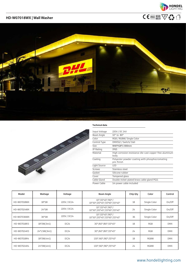





#### **Technical data**

| Input Voltage | 220V / DC 24V                                                   |
|---------------|-----------------------------------------------------------------|
| Beam Angle    | $10^{\circ}$ to $80^{\circ}$                                    |
| Color         | RGB / RGBW/ Single Color                                        |
| Control Type  | DMX512 / Switch/ Dali                                           |
| <b>Size</b>   | W40*H28*L1000mm                                                 |
| IP Rating     | IP65                                                            |
| Material      | High corrosion resistance die-cast copper-free aluminum<br>body |
| Coating       | Polyester powder coating with phosphocromating<br>pre-finish    |
| Light Source  | LED                                                             |
| <b>Screws</b> | Stainless steel                                                 |
| Gasket        | Silicone rubber                                                 |
| Cover         | Tempered glass                                                  |
| Cable Gland   | Double nickel-plated brass cable gland PG11                     |
| Power Cable   | 1m power cable included                                         |

| Model       | Wattage       | Voltage          | <b>Beam Angle</b>                              | Chip Qty | Color        | Control    |
|-------------|---------------|------------------|------------------------------------------------|----------|--------------|------------|
| HD-W07018WX | 18*1W         | 220V / DC24      | 10°/15*45°/90°/<br>10*30°/20*45°/15*65°/15*45° | 18       | Single Color | On/Off     |
| HD-W07024WX | 24*1W         | 220V / DC24      | 10°/15*45°/90°/<br>10*30°/20*45°/15*65°/15*45° | 24       | Single Color | On/Off     |
| HD-W07036WX | 36*1W         | 220V / DC24      | 10°/15*45°/90°/<br>10*30°/20*45°/15*65°/15*45° | 36       | Single Color | On/Off     |
| HD-W07018R3 | 18*2W(3in1)   | DC <sub>24</sub> | 30°/60°/80°/15*45°                             | 18       | <b>RGB</b>   | <b>DMX</b> |
| HD-W07024R3 | 24*1.5W(3in1) | DC <sub>24</sub> | 30°/60°/80°/15*45°                             | 24       | <b>RGB</b>   | <b>DMX</b> |
| HD-W07018R4 | 18*2W(4in1)   | DC <sub>24</sub> | 130°/60°/80°/15*45°                            | 18       | <b>RGBW</b>  | <b>DMX</b> |
| HD-W07024R4 | 24*2W(4in1)   | DC <sub>24</sub> | 130°/60°/80°/15*45°                            | 24       | <b>RGBW</b>  | <b>DMX</b> |